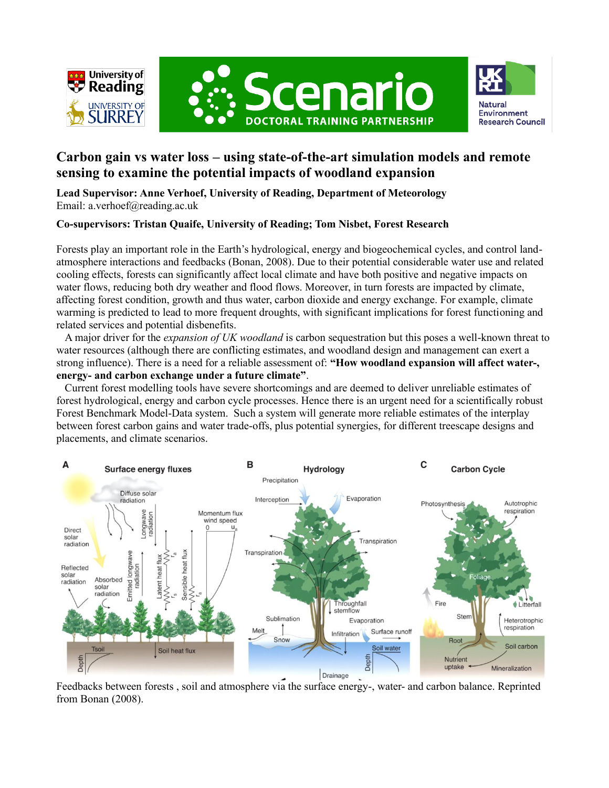





# **Carbon gain vs water loss – using state-of-the-art simulation models and remote sensing to examine the potential impacts of woodland expansion**

**Lead Supervisor: Anne Verhoef, University of Reading, Department of Meteorology** Email: a.verhoef@reading.ac.uk

## **Co-supervisors: Tristan Quaife, University of Reading; Tom Nisbet, Forest Research**

Forests play an important role in the Earth's hydrological, energy and biogeochemical cycles, and control landatmosphere interactions and feedbacks (Bonan, 2008). Due to their potential considerable water use and related cooling effects, forests can significantly affect local climate and have both positive and negative impacts on water flows, reducing both dry weather and flood flows. Moreover, in turn forests are impacted by climate, affecting forest condition, growth and thus water, carbon dioxide and energy exchange. For example, climate warming is predicted to lead to more frequent droughts, with significant implications for forest functioning and related services and potential disbenefits.

A major driver for the *expansion of UK woodland* is carbon sequestration but this poses a well-known threat to water resources (although there are conflicting estimates, and woodland design and management can exert a strong influence). There is a need for a reliable assessment of: **"How woodland expansion will affect water-, energy- and carbon exchange under a future climate"**.

Current forest modelling tools have severe shortcomings and are deemed to deliver unreliable estimates of forest hydrological, energy and carbon cycle processes. Hence there is an urgent need for a scientifically robust Forest Benchmark Model-Data system. Such a system will generate more reliable estimates of the interplay between forest carbon gains and water trade-offs, plus potential synergies, for different treescape designs and placements, and climate scenarios.



Feedbacks between forests , soil and atmosphere via the surface energy-, water- and carbon balance. Reprinted from Bonan (2008).